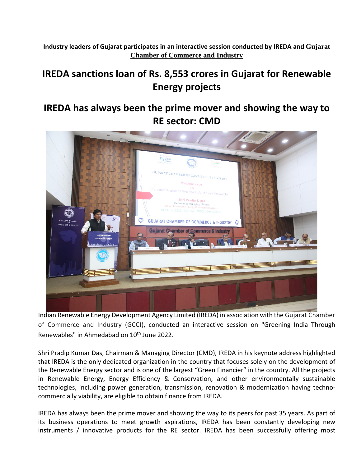**Industry leaders of Gujarat participates in an interactive session conducted by IREDA and Gujarat Chamber of Commerce and Industry**

## **IREDA sanctions loan of Rs. 8,553 crores in Gujarat for Renewable Energy projects**

## **IREDA has always been the prime mover and showing the way to RE sector: CMD**



Indian Renewable Energy Development Agency Limited (IREDA) in association with the Gujarat Chamber of Commerce and Industry (GCCI), conducted an interactive session on "Greening India Through Renewables" in Ahmedabad on 10<sup>th</sup> June 2022.

Shri Pradip Kumar Das, Chairman & Managing Director (CMD), IREDA in his keynote address highlighted that IREDA is the only dedicated organization in the country that focuses solely on the development of the Renewable Energy sector and is one of the largest "Green Financier" in the country. All the projects in Renewable Energy, Energy Efficiency & Conservation, and other environmentally sustainable technologies, including power generation, transmission, renovation & modernization having technocommercially viability, are eligible to obtain finance from IREDA.

IREDA has always been the prime mover and showing the way to its peers for past 35 years. As part of its business operations to meet growth aspirations, IREDA has been constantly developing new instruments / innovative products for the RE sector. IREDA has been successfully offering most